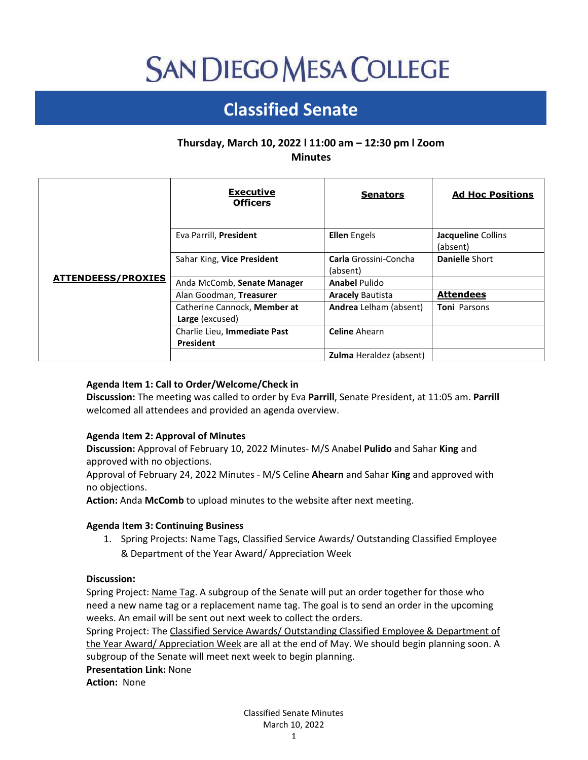# **SAN DIEGO MESA COLLEGE**

# **Classified Senate**

# **Thursday, March 10, 2022 l 11:00 am – 12:30 pm l Zoom Minutes**

| <b>ATTENDEESS/PROXIES</b> | <b>Executive</b><br><b>Officers</b>             | <b>Senators</b>                          | <b>Ad Hoc Positions</b>        |
|---------------------------|-------------------------------------------------|------------------------------------------|--------------------------------|
|                           | Eva Parrill, President                          | <b>Ellen</b> Engels                      | Jacqueline Collins<br>(absent) |
|                           | Sahar King, Vice President                      | <b>Carla</b> Grossini-Concha<br>(absent) | <b>Danielle Short</b>          |
|                           | Anda McComb, Senate Manager                     | <b>Anabel Pulido</b>                     |                                |
|                           | Alan Goodman, Treasurer                         | <b>Aracely Bautista</b>                  | <b>Attendees</b>               |
|                           | Catherine Cannock, Member at<br>Large (excused) | Andrea Lelham (absent)                   | <b>Toni Parsons</b>            |
|                           | Charlie Lieu, Immediate Past<br>President       | <b>Celine</b> Ahearn                     |                                |
|                           |                                                 | <b>Zulma</b> Heraldez (absent)           |                                |

# **Agenda Item 1: Call to Order/Welcome/Check in**

**Discussion:** The meeting was called to order by Eva **Parrill**, Senate President, at 11:05 am. **Parrill** welcomed all attendees and provided an agenda overview.

# **Agenda Item 2: Approval of Minutes**

**Discussion:** Approval of February 10, 2022 Minutes- M/S Anabel **Pulido** and Sahar **King** and approved with no objections.

Approval of February 24, 2022 Minutes - M/S Celine **Ahearn** and Sahar **King** and approved with no objections.

**Action:** Anda **McComb** to upload minutes to the website after next meeting.

# **Agenda Item 3: Continuing Business**

1. Spring Projects: Name Tags, Classified Service Awards/ Outstanding Classified Employee & Department of the Year Award/ Appreciation Week

# **Discussion:**

Spring Project: Name Tag. A subgroup of the Senate will put an order together for those who need a new name tag or a replacement name tag. The goal is to send an order in the upcoming weeks. An email will be sent out next week to collect the orders.

Spring Project: The Classified Service Awards/ Outstanding Classified Employee & Department of the Year Award/ Appreciation Week are all at the end of May. We should begin planning soon. A subgroup of the Senate will meet next week to begin planning.

**Presentation Link:** None

**Action:** None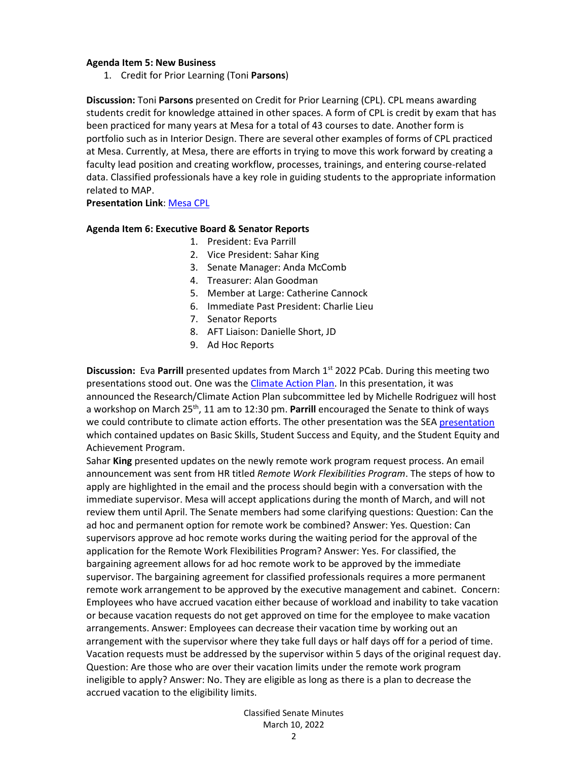#### **Agenda Item 5: New Business**

1. Credit for Prior Learning (Toni **Parsons**)

**Discussion:** Toni **Parsons** presented on Credit for Prior Learning (CPL). CPL means awarding students credit for knowledge attained in other spaces. A form of CPL is credit by exam that has been practiced for many years at Mesa for a total of 43 courses to date. Another form is portfolio such as in Interior Design. There are several other examples of forms of CPL practiced at Mesa. Currently, at Mesa, there are efforts in trying to move this work forward by creating a faculty lead position and creating workflow, processes, trainings, and entering course-related data. Classified professionals have a key role in guiding students to the appropriate information related to MAP.

#### **Presentation Link**: [Mesa CPL](https://drive.google.com/file/d/1vFyxCBtISKGXGizXzv9vnccNaR9g0ZqZ/view?usp=sharing)

#### **Agenda Item 6: Executive Board & Senator Reports**

- 1. President: Eva Parrill
- 2. Vice President: Sahar King
- 3. Senate Manager: Anda McComb
- 4. Treasurer: Alan Goodman
- 5. Member at Large: Catherine Cannock
- 6. Immediate Past President: Charlie Lieu
- 7. Senator Reports
- 8. AFT Liaison: Danielle Short, JD
- 9. Ad Hoc Reports

**Discussion:** Eva Parrill presented updates from March 1<sup>st</sup> 2022 PCab. During this meeting two presentations stood out. One was the [Climate Action Plan.](https://www.sdmesa.edu/about-mesa/office-of-the-president/presentation-documents/ESCreport_March2022.pdf) In this presentation, it was announced the Research/Climate Action Plan subcommittee led by Michelle Rodriguez will host a workshop on March 25th, 11 am to 12:30 pm. **Parrill** encouraged the Senate to think of ways we could contribute to climate action efforts. The other presentation was the SE[A presentation](https://www.sdmesa.edu/about-mesa/office-of-the-president/presentation-documents/SEA_PCAB_Presentation2022.pdf) which contained updates on Basic Skills, Student Success and Equity, and the Student Equity and Achievement Program.

Sahar **King** presented updates on the newly remote work program request process. An email announcement was sent from HR titled *Remote Work Flexibilities Program*. The steps of how to apply are highlighted in the email and the process should begin with a conversation with the immediate supervisor. Mesa will accept applications during the month of March, and will not review them until April. The Senate members had some clarifying questions: Question: Can the ad hoc and permanent option for remote work be combined? Answer: Yes. Question: Can supervisors approve ad hoc remote works during the waiting period for the approval of the application for the Remote Work Flexibilities Program? Answer: Yes. For classified, the bargaining agreement allows for ad hoc remote work to be approved by the immediate supervisor. The bargaining agreement for classified professionals requires a more permanent remote work arrangement to be approved by the executive management and cabinet. Concern: Employees who have accrued vacation either because of workload and inability to take vacation or because vacation requests do not get approved on time for the employee to make vacation arrangements. Answer: Employees can decrease their vacation time by working out an arrangement with the supervisor where they take full days or half days off for a period of time. Vacation requests must be addressed by the supervisor within 5 days of the original request day. Question: Are those who are over their vacation limits under the remote work program ineligible to apply? Answer: No. They are eligible as long as there is a plan to decrease the accrued vacation to the eligibility limits.